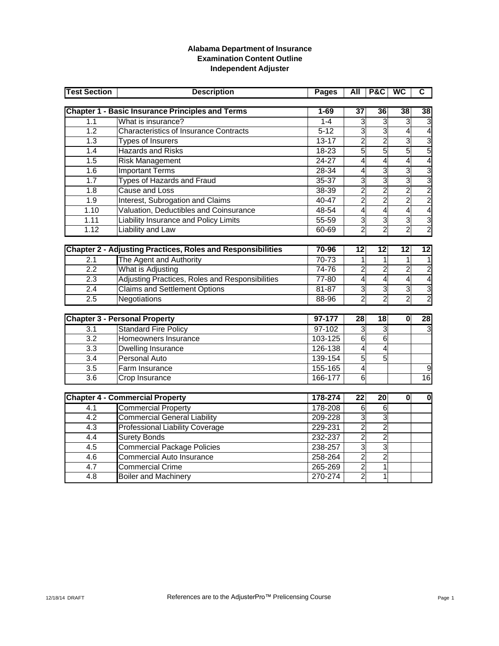## **Alabama Department of Insurance Examination Content Outline Independent Adjuster**

| <b>Test Section</b> | <b>Description</b>                                                 | <b>Pages</b> | All             | P&C             | <b>WC</b>       | C                                |
|---------------------|--------------------------------------------------------------------|--------------|-----------------|-----------------|-----------------|----------------------------------|
|                     | <b>Chapter 1 - Basic Insurance Principles and Terms</b>            | $1 - 69$     | $\overline{37}$ | $\overline{36}$ | $\overline{38}$ | 38                               |
| 1.1                 | What is insurance?                                                 | $1 - 4$      | 3               | $\overline{3}$  | 3               | 3                                |
| $\overline{1.2}$    | <b>Characteristics of Insurance Contracts</b>                      | $5 - 12$     | 3               | $\overline{3}$  | 4               | 4                                |
| 1.3                 | Types of Insurers                                                  | $13 - 17$    | $\overline{2}$  | $\overline{2}$  | $\overline{3}$  | $\overline{3}$                   |
| 1.4                 | <b>Hazards and Risks</b>                                           | $18 - 23$    | $\overline{5}$  | $\overline{5}$  | 5               | 5                                |
| 1.5                 | <b>Risk Management</b>                                             | 24-27        | $\overline{4}$  | $\overline{4}$  | $\overline{4}$  | 4                                |
| 1.6                 | <b>Important Terms</b>                                             | 28-34        | 4               | $\overline{3}$  | 3               | $\overline{3}$                   |
| 1.7                 | Types of Hazards and Fraud                                         | $35 - 37$    | $\overline{3}$  | $\overline{3}$  | 3               | 3                                |
| 1.8                 | Cause and Loss                                                     | 38-39        | $\overline{2}$  | $\overline{2}$  | $\overline{2}$  | $\overline{c}$                   |
| 1.9                 | Interest, Subrogation and Claims                                   | 40-47        | $\overline{2}$  | $\overline{2}$  | $\overline{2}$  | $\overline{2}$                   |
| $\overline{1.10}$   | Valuation, Deductibles and Coinsurance                             | 48-54        | 4               | 4               | 4               | $\overline{\mathbf{r}}$          |
| 1.11                | Liability Insurance and Policy Limits                              | $55 - 59$    | $\overline{3}$  | $\overline{3}$  | 3               | 3                                |
| 1.12                | <b>Liability and Law</b>                                           | $60 - 69$    | $\overline{2}$  | $\overline{2}$  | $\overline{2}$  | $\overline{c}$                   |
|                     |                                                                    | 70-96        | $\overline{12}$ | $\overline{12}$ | $\overline{12}$ | $\overline{12}$                  |
|                     | <b>Chapter 2 - Adjusting Practices, Roles and Responsibilities</b> |              |                 |                 |                 |                                  |
| 2.1<br>2.2          | The Agent and Authority                                            | $70 - 73$    | 1               | 1               | 1               |                                  |
|                     | What is Adjusting                                                  | 74-76        | $\overline{2}$  | $\overline{2}$  | $\overline{2}$  | $\overline{c}$                   |
| 2.3                 | Adjusting Practices, Roles and Responsibilities                    | 77-80        | $\overline{4}$  | $\overline{4}$  | $\overline{4}$  | $\overline{\mathbf{r}}$          |
| 2.4                 | <b>Claims and Settlement Options</b>                               | $81 - 87$    | $\overline{3}$  | $\overline{3}$  | 3               | $\overline{3}$<br>$\overline{2}$ |
| 2.5                 | Negotiations                                                       | 88-96        | 2               | 2               | $\overline{2}$  |                                  |
|                     | <b>Chapter 3 - Personal Property</b>                               | $97 - 177$   | 28              | $\overline{18}$ | $\bf{0}$        | 28                               |
| 3.1                 | <b>Standard Fire Policy</b>                                        | $97-102$     | 3               | $\overline{3}$  |                 | 3                                |
| $\overline{3.2}$    | Homeowners Insurance                                               | 103-125      | 6               | 6               |                 |                                  |
| $\overline{3.3}$    | Dwelling Insurance                                                 | 126-138      | 4               | $\overline{4}$  |                 |                                  |
| 3.4                 | <b>Personal Auto</b>                                               | 139-154      | 5               | $\overline{5}$  |                 |                                  |
| $\overline{3.5}$    | Farm Insurance                                                     | 155-165      | 4               |                 |                 | 9                                |
| $\overline{3.6}$    | Crop Insurance                                                     | 166-177      | 6               |                 |                 | 16                               |
|                     |                                                                    |              |                 |                 |                 |                                  |
|                     | <b>Chapter 4 - Commercial Property</b>                             | 178-274      | $\overline{22}$ | $\overline{20}$ | $\mathbf{0}$    | 0                                |
| 4.1                 | <b>Commercial Property</b>                                         | $178 - 208$  | $\overline{6}$  | $\overline{6}$  |                 |                                  |
| $\overline{4.2}$    | <b>Commercial General Liability</b>                                | 209-228      | 3               | 3               |                 |                                  |
| 4.3                 | <b>Professional Liability Coverage</b>                             | 229-231      | $\overline{2}$  | $\overline{2}$  |                 |                                  |
| 4.4                 | <b>Surety Bonds</b>                                                | 232-237      | $\overline{2}$  | $\overline{2}$  |                 |                                  |
| 4.5                 | <b>Commercial Package Policies</b>                                 | 238-257      | $\overline{3}$  | 3               |                 |                                  |
| $\overline{4.6}$    | <b>Commercial Auto Insurance</b>                                   | 258-264      | $\overline{2}$  | $\overline{2}$  |                 |                                  |
| 4.7                 | <b>Commercial Crime</b>                                            | 265-269      | $\overline{c}$  | 1               |                 |                                  |
| $\overline{4.8}$    | <b>Boiler and Machinery</b>                                        | 270-274      | $\overline{2}$  | 1               |                 |                                  |